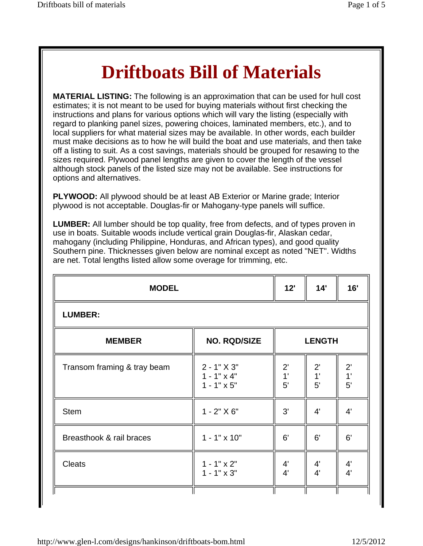## **Driftboats Bill of Materials**

**MATERIAL LISTING:** The following is an approximation that can be used for hull cost estimates; it is not meant to be used for buying materials without first checking the instructions and plans for various options which will vary the listing (especially with regard to planking panel sizes, powering choices, laminated members, etc.), and to local suppliers for what material sizes may be available. In other words, each builder must make decisions as to how he will build the boat and use materials, and then take off a listing to suit. As a cost savings, materials should be grouped for resawing to the sizes required. Plywood panel lengths are given to cover the length of the vessel although stock panels of the listed size may not be available. See instructions for options and alternatives.

**PLYWOOD:** All plywood should be at least AB Exterior or Marine grade; Interior plywood is not acceptable. Douglas-fir or Mahogany-type panels will suffice.

**LUMBER:** All lumber should be top quality, free from defects, and of types proven in use in boats. Suitable woods include vertical grain Douglas-fir, Alaskan cedar, mahogany (including Philippine, Honduras, and African types), and good quality Southern pine. Thicknesses given below are nominal except as noted "NET". Widths are net. Total lengths listed allow some overage for trimming, etc.

|                                                           | <b>LUMBER:</b>           |                          |                          |  |
|-----------------------------------------------------------|--------------------------|--------------------------|--------------------------|--|
| <b>NO. RQD/SIZE</b><br><b>LENGTH</b><br><b>MEMBER</b>     |                          |                          |                          |  |
| $2 - 1" X 3"$<br>$1 - 1" \times 4"$<br>$1 - 1" \times 5"$ | $2^{\prime}$<br>1'<br>5' | $2^{\prime}$<br>1'<br>5' | $2^{\prime}$<br>1'<br>5' |  |
| $1 - 2" X 6"$                                             | 3'                       | $4^{\prime}$             | $4^{\prime}$             |  |
| $1 - 1" \times 10"$                                       | 6'                       | 6'                       | 6'                       |  |
| $1 - 1" \times 2"$<br>$1 - 1" \times 3"$                  | 4'<br>4'                 | $4^{\prime}$<br>4'       | $\frac{4}{4}$            |  |
|                                                           |                          |                          |                          |  |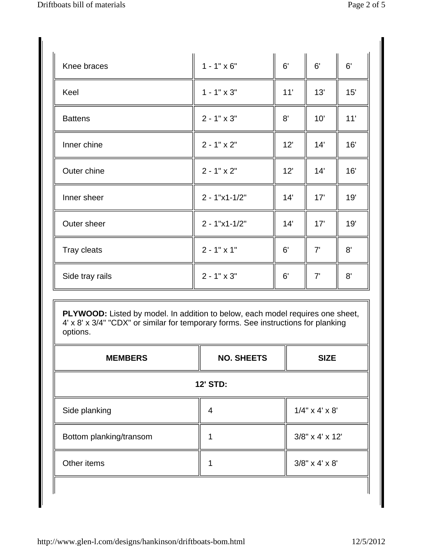| Knee braces     | $1 - 1" \times 6"$ | 6'  | 6'  | 6'  |
|-----------------|--------------------|-----|-----|-----|
| Keel            | $1 - 1" \times 3"$ | 11' | 13' | 15' |
| <b>Battens</b>  | $2 - 1" \times 3"$ | 8'  | 10' | 11' |
| Inner chine     | $2 - 1" \times 2"$ | 12' | 14' | 16' |
| Outer chine     | $2 - 1" \times 2"$ | 12' | 14' | 16' |
| Inner sheer     | $2 - 1"x1 - 1/2"$  | 14' | 17' | 19' |
| Outer sheer     | $2 - 1"x1 - 1/2"$  | 14' | 17' | 19' |
| Tray cleats     | $2 - 1" \times 1"$ | 6'  | 7'  | 8'  |
| Side tray rails | $2 - 1" \times 3"$ | 6'  | 7'  | 8'  |

**PLYWOOD:** Listed by model. In addition to below, each model requires one sheet, 4' x 8' x 3/4" "CDX" or similar for temporary forms. See instructions for planking options.

| <b>MEMBERS</b>          | <b>NO. SHEETS</b> | <b>SIZE</b>       |
|-------------------------|-------------------|-------------------|
|                         | <b>12' STD:</b>   |                   |
| Side planking           | 4                 | $1/4$ " x 4' x 8' |
| Bottom planking/transom |                   | 3/8" x 4' x 12'   |
| Other items             |                   | $3/8$ " x 4' x 8' |
|                         |                   |                   |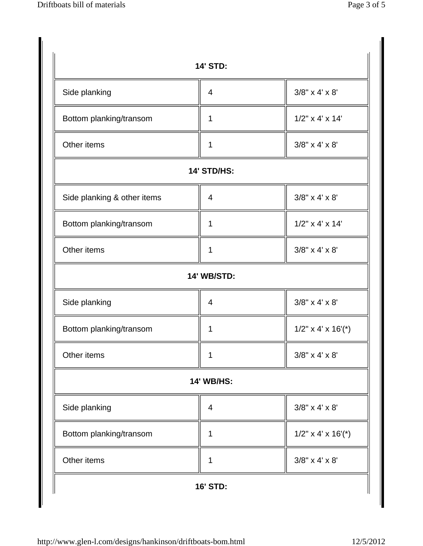|                             | <b>14' STD:</b>    |                         |
|-----------------------------|--------------------|-------------------------|
| Side planking               | 4                  | $3/8$ " x 4' x 8'       |
| Bottom planking/transom     | 1                  | $1/2$ " x 4' x 14'      |
| Other items                 | 1                  | $3/8$ " x 4' x 8'       |
|                             | 14' STD/HS:        |                         |
| Side planking & other items | 4                  | $3/8$ " x 4' x 8'       |
| Bottom planking/transom     | 1                  | $1/2$ " x 4' x 14'      |
| Other items                 | 1                  | $3/8$ " x 4' x 8'       |
|                             | <b>14' WB/STD:</b> |                         |
| Side planking               | 4                  | $3/8$ " x 4' x 8'       |
| Bottom planking/transom     | 1                  | $1/2$ " x 4' x $16'(*)$ |
| Other items                 |                    | $3/8$ " x 4' x 8'       |
|                             | <b>14' WB/HS:</b>  |                         |
| Side planking               | $\overline{4}$     | $3/8$ " x 4' x 8'       |
| Bottom planking/transom     | 1                  | $1/2$ " x 4' x $16'(*)$ |
| Other items                 | 1                  | $3/8$ " x 4' x 8'       |
|                             | <b>16' STD:</b>    |                         |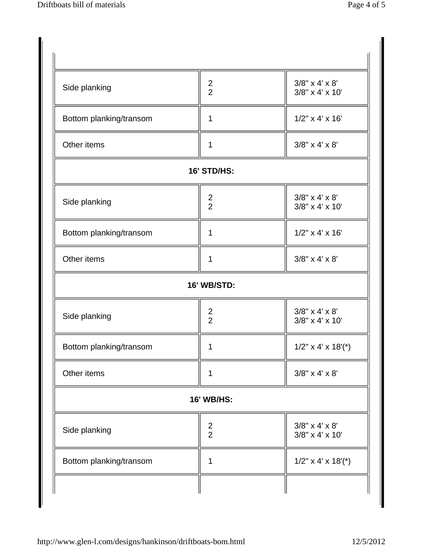| Side planking           | $\frac{2}{2}$                             | $3/8$ " x 4' x 8'<br>3/8" x 4' x 10' |
|-------------------------|-------------------------------------------|--------------------------------------|
| Bottom planking/transom | 1                                         | $1/2$ " x 4' x 16'                   |
| Other items             | 1                                         | $3/8$ " x 4' x 8'                    |
|                         | <b>16' STD/HS:</b>                        |                                      |
| Side planking           | $\overline{\mathbf{c}}$<br>$\overline{2}$ | $3/8$ " x 4' x 8'<br>3/8" x 4' x 10' |
| Bottom planking/transom | 1                                         | $1/2$ " x 4' x 16'                   |
| Other items             | 1                                         | $3/8$ " x 4' x 8'                    |
|                         | 16' WB/STD:                               |                                      |
| Side planking           | $\frac{2}{2}$                             | $3/8$ " x 4' x 8'<br>3/8" x 4' x 10' |
| Bottom planking/transom | 1                                         | $1/2$ " x 4' x $18'$ (*)             |
| Other items             | 1                                         | $3/8" \times 4' \times 8'$           |
|                         | <b>16' WB/HS:</b>                         |                                      |
| Side planking           | $\frac{2}{2}$                             | $3/8$ " x 4' x 8'<br>3/8" x 4' x 10' |
| Bottom planking/transom | 1                                         | $1/2$ " x 4' x $18'$ (*)             |
|                         |                                           |                                      |